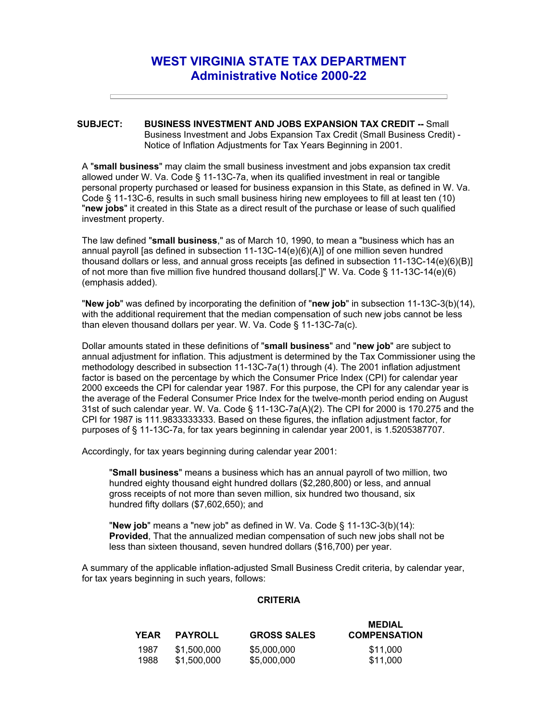## **WEST VIRGINIA STATE TAX DEPARTMENT Administrative Notice 2000-22**

## **SUBJECT: BUSINESS INVESTMENT AND JOBS EXPANSION TAX CREDIT --** Small Business Investment and Jobs Expansion Tax Credit (Small Business Credit) - Notice of Inflation Adjustments for Tax Years Beginning in 2001.

A "**small business**" may claim the small business investment and jobs expansion tax credit allowed under W. Va. Code § 11-13C-7a, when its qualified investment in real or tangible personal property purchased or leased for business expansion in this State, as defined in W. Va. Code § 11-13C-6, results in such small business hiring new employees to fill at least ten (10) "**new jobs**" it created in this State as a direct result of the purchase or lease of such qualified investment property.

The law defined "**small business**," as of March 10, 1990, to mean a "business which has an annual payroll [as defined in subsection 11-13C-14(e)(6)(A)] of one million seven hundred thousand dollars or less, and annual gross receipts [as defined in subsection 11-13C-14(e)(6)(B)] of not more than five million five hundred thousand dollars[.]" W. Va. Code § 11-13C-14(e)(6) (emphasis added).

"**New job**" was defined by incorporating the definition of "**new job**" in subsection 11-13C-3(b)(14), with the additional requirement that the median compensation of such new jobs cannot be less than eleven thousand dollars per year. W. Va. Code § 11-13C-7a(c).

Dollar amounts stated in these definitions of "**small business**" and "**new job**" are subject to annual adjustment for inflation. This adjustment is determined by the Tax Commissioner using the methodology described in subsection 11-13C-7a(1) through (4). The 2001 inflation adjustment factor is based on the percentage by which the Consumer Price Index (CPI) for calendar year 2000 exceeds the CPI for calendar year 1987. For this purpose, the CPI for any calendar year is the average of the Federal Consumer Price Index for the twelve-month period ending on August 31st of such calendar year. W. Va. Code § 11-13C-7a(A)(2). The CPI for 2000 is 170.275 and the CPI for 1987 is 111.9833333333. Based on these figures, the inflation adjustment factor, for purposes of § 11-13C-7a, for tax years beginning in calendar year 2001, is 1.5205387707.

Accordingly, for tax years beginning during calendar year 2001:

"**Small business**" means a business which has an annual payroll of two million, two hundred eighty thousand eight hundred dollars (\$2,280,800) or less, and annual gross receipts of not more than seven million, six hundred two thousand, six hundred fifty dollars (\$7,602,650); and

"**New job**" means a "new job" as defined in W. Va. Code § 11-13C-3(b)(14): **Provided**, That the annualized median compensation of such new jobs shall not be less than sixteen thousand, seven hundred dollars (\$16,700) per year.

A summary of the applicable inflation-adjusted Small Business Credit criteria, by calendar year, for tax years beginning in such years, follows:

## **CRITERIA**

| <b>YEAR</b> | <b>PAYROLL</b> | <b>GROSS SALES</b> | <b>MEDIAL</b><br><b>COMPENSATION</b> |
|-------------|----------------|--------------------|--------------------------------------|
| 1987        | \$1,500,000    | \$5,000,000        | \$11.000                             |
| 1988        | \$1,500,000    | \$5,000,000        | \$11.000                             |